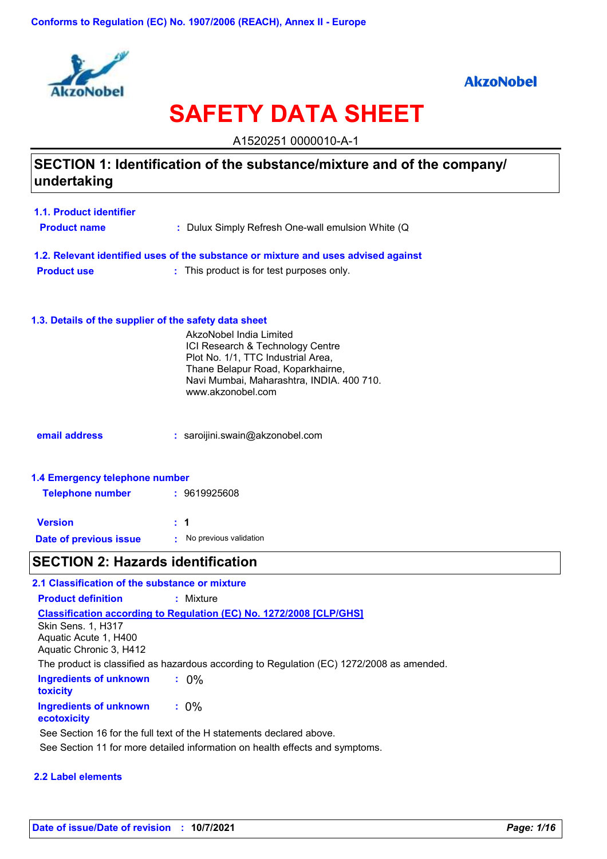

## **AkzoNobel**

# **SAFETY DATA SHEET**

A1520251 0000010-A-1

## **SECTION 1: Identification of the substance/mixture and of the company/ undertaking**

| 1.1. Product identifier                                                            |                                                   |  |  |
|------------------------------------------------------------------------------------|---------------------------------------------------|--|--|
| <b>Product name</b>                                                                | : Dulux Simply Refresh One-wall emulsion White (Q |  |  |
|                                                                                    |                                                   |  |  |
| 1.2. Relevant identified uses of the substance or mixture and uses advised against |                                                   |  |  |
| <b>Product use</b>                                                                 | : This product is for test purposes only.         |  |  |

#### **1.3. Details of the supplier of the safety data sheet**

|                                | AkzoNobel India Limited<br>ICI Research & Technology Centre<br>Plot No. 1/1, TTC Industrial Area,<br>Thane Belapur Road, Koparkhairne,<br>Navi Mumbai, Maharashtra, INDIA. 400 710.<br>www.akzonobel.com |
|--------------------------------|----------------------------------------------------------------------------------------------------------------------------------------------------------------------------------------------------------|
| email address                  | : saroijini.swain@akzonobel.com                                                                                                                                                                          |
| 1.4 Emergency telephone number |                                                                                                                                                                                                          |

# ergency telephone num**i Telephone number :** 9619925608

| <b>Version</b>         | $\pm$ 1 |                        |
|------------------------|---------|------------------------|
| Date of previous issue |         | No previous validation |

# **SECTION 2: Hazards identification**

| 2.1 Classification of the substance or mixture                                            |                                                                            |  |  |  |
|-------------------------------------------------------------------------------------------|----------------------------------------------------------------------------|--|--|--|
| <b>Product definition</b>                                                                 | : Mixture                                                                  |  |  |  |
| <b>Skin Sens. 1, H317</b><br>Aquatic Acute 1, H400<br>Aquatic Chronic 3, H412             | <b>Classification according to Regulation (EC) No. 1272/2008 [CLP/GHS]</b> |  |  |  |
| The product is classified as hazardous according to Regulation (EC) 1272/2008 as amended. |                                                                            |  |  |  |
| Ingredients of unknown<br><b>toxicity</b>                                                 | $.0\%$                                                                     |  |  |  |
| Ingredients of unknown<br>ecotoxicity                                                     | $: 0\%$                                                                    |  |  |  |
| See Section 16 for the full text of the H statements declared above.                      |                                                                            |  |  |  |
| See Section 11 for more detailed information on health effects and symptoms.              |                                                                            |  |  |  |

#### **2.2 Label elements**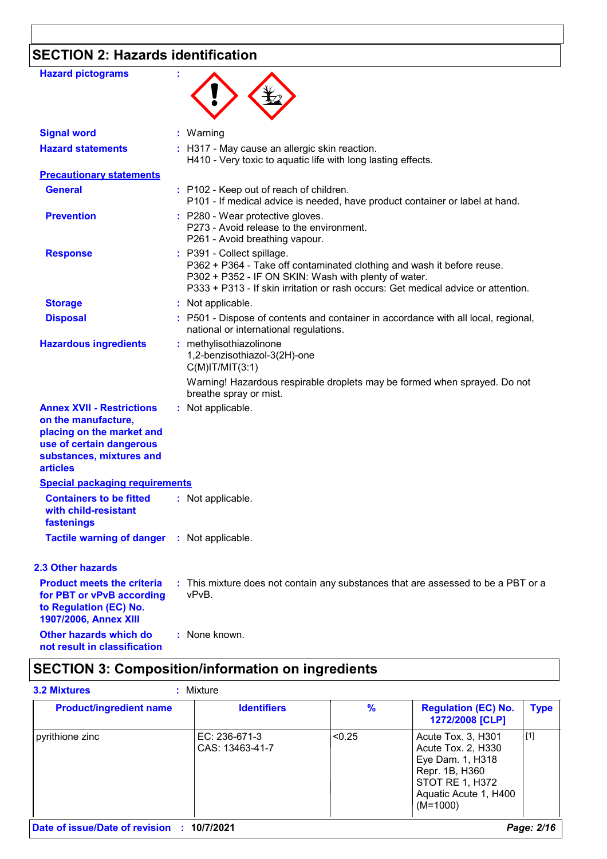# **SECTION 2: Hazards identification**

| <b>Hazard pictograms</b>                                                                                                                                        |                                                                                                                                                                                                                                                   |
|-----------------------------------------------------------------------------------------------------------------------------------------------------------------|---------------------------------------------------------------------------------------------------------------------------------------------------------------------------------------------------------------------------------------------------|
| <b>Signal word</b>                                                                                                                                              | : Warning                                                                                                                                                                                                                                         |
| <b>Hazard statements</b>                                                                                                                                        | : H317 - May cause an allergic skin reaction.<br>H410 - Very toxic to aquatic life with long lasting effects.                                                                                                                                     |
| <b>Precautionary statements</b>                                                                                                                                 |                                                                                                                                                                                                                                                   |
| <b>General</b>                                                                                                                                                  | : P102 - Keep out of reach of children.<br>P101 - If medical advice is needed, have product container or label at hand.                                                                                                                           |
| <b>Prevention</b>                                                                                                                                               | : P280 - Wear protective gloves.<br>P273 - Avoid release to the environment.<br>P261 - Avoid breathing vapour.                                                                                                                                    |
| <b>Response</b>                                                                                                                                                 | : P391 - Collect spillage.<br>P362 + P364 - Take off contaminated clothing and wash it before reuse.<br>P302 + P352 - IF ON SKIN: Wash with plenty of water.<br>P333 + P313 - If skin irritation or rash occurs: Get medical advice or attention. |
| <b>Storage</b>                                                                                                                                                  | : Not applicable.                                                                                                                                                                                                                                 |
| <b>Disposal</b>                                                                                                                                                 | : P501 - Dispose of contents and container in accordance with all local, regional,<br>national or international regulations.                                                                                                                      |
| <b>Hazardous ingredients</b>                                                                                                                                    | : methylisothiazolinone<br>1,2-benzisothiazol-3(2H)-one<br>$C(M)$ IT/MIT $(3:1)$                                                                                                                                                                  |
|                                                                                                                                                                 | Warning! Hazardous respirable droplets may be formed when sprayed. Do not<br>breathe spray or mist.                                                                                                                                               |
| <b>Annex XVII - Restrictions</b><br>on the manufacture,<br>placing on the market and<br>use of certain dangerous<br>substances, mixtures and<br><b>articles</b> | : Not applicable.                                                                                                                                                                                                                                 |
| <b>Special packaging requirements</b>                                                                                                                           |                                                                                                                                                                                                                                                   |
| <b>Containers to be fitted</b><br>with child-resistant<br><b>fastenings</b>                                                                                     | : Not applicable.                                                                                                                                                                                                                                 |
| <b>Tactile warning of danger</b>                                                                                                                                | : Not applicable.                                                                                                                                                                                                                                 |
| <b>2.3 Other hazards</b>                                                                                                                                        |                                                                                                                                                                                                                                                   |
| <b>Product meets the criteria</b><br>for PBT or vPvB according<br>to Regulation (EC) No.<br>1907/2006, Annex XIII                                               | : This mixture does not contain any substances that are assessed to be a PBT or a<br>vPvB.                                                                                                                                                        |
| Other hazards which do<br>not result in classification                                                                                                          | : None known.                                                                                                                                                                                                                                     |

# **SECTION 3: Composition/information on ingredients**

| <b>Product/ingredient name</b> | <b>Identifiers</b>               | %      | <b>Regulation (EC) No.</b><br>1272/2008 [CLP]                                                                                            | <b>Type</b> |
|--------------------------------|----------------------------------|--------|------------------------------------------------------------------------------------------------------------------------------------------|-------------|
| pyrithione zinc                | EC: 236-671-3<br>CAS: 13463-41-7 | < 0.25 | Acute Tox. 3, H301<br>Acute Tox. 2, H330<br>Eye Dam. 1, H318<br>Repr. 1B, H360<br>STOT RE 1, H372<br>Aquatic Acute 1, H400<br>$(M=1000)$ | [1]         |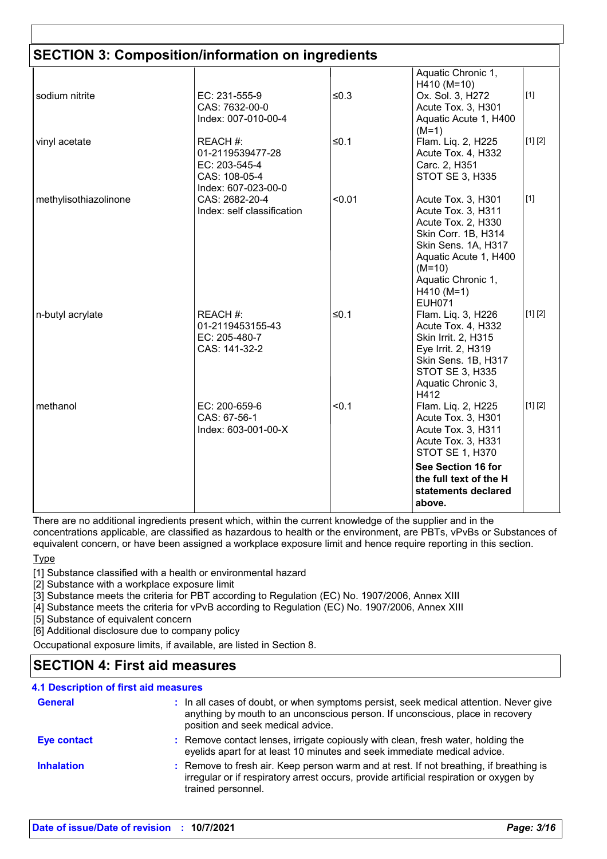| <b>SECTION 3: Composition/information on ingredients</b> |                                                                                       |        |                                                                                                                                                                                                          |         |
|----------------------------------------------------------|---------------------------------------------------------------------------------------|--------|----------------------------------------------------------------------------------------------------------------------------------------------------------------------------------------------------------|---------|
| sodium nitrite                                           | EC: 231-555-9<br>CAS: 7632-00-0<br>Index: 007-010-00-4                                | $≤0.3$ | Aquatic Chronic 1,<br>H410 (M=10)<br>Ox. Sol. 3, H272<br>Acute Tox. 3, H301<br>Aquatic Acute 1, H400<br>$(M=1)$                                                                                          | $[1]$   |
| vinyl acetate                                            | REACH #:<br>01-2119539477-28<br>EC: 203-545-4<br>CAS: 108-05-4<br>Index: 607-023-00-0 | ≤0.1   | Flam. Liq. 2, H225<br>Acute Tox. 4, H332<br>Carc. 2, H351<br>STOT SE 3, H335                                                                                                                             | [1] [2] |
| methylisothiazolinone                                    | CAS: 2682-20-4<br>Index: self classification                                          | < 0.01 | Acute Tox. 3, H301<br>Acute Tox. 3, H311<br>Acute Tox. 2, H330<br>Skin Corr. 1B, H314<br>Skin Sens. 1A, H317<br>Aquatic Acute 1, H400<br>$(M=10)$<br>Aquatic Chronic 1,<br>$H410 (M=1)$<br><b>EUH071</b> | $[1]$   |
| n-butyl acrylate                                         | REACH #:<br>01-2119453155-43<br>EC: 205-480-7<br>CAS: 141-32-2                        | $≤0.1$ | Flam. Liq. 3, H226<br>Acute Tox. 4, H332<br>Skin Irrit. 2, H315<br>Eye Irrit. 2, H319<br>Skin Sens. 1B, H317<br><b>STOT SE 3, H335</b><br>Aquatic Chronic 3,<br>H412                                     | [1] [2] |
| methanol                                                 | EC: 200-659-6<br>CAS: 67-56-1<br>Index: 603-001-00-X                                  | < 0.1  | Flam. Liq. 2, H225<br>Acute Tox. 3, H301<br>Acute Tox. 3, H311<br>Acute Tox. 3, H331<br><b>STOT SE 1, H370</b><br>See Section 16 for<br>the full text of the H<br>statements declared<br>above.          | [1] [2] |

There are no additional ingredients present which, within the current knowledge of the supplier and in the concentrations applicable, are classified as hazardous to health or the environment, are PBTs, vPvBs or Substances of equivalent concern, or have been assigned a workplace exposure limit and hence require reporting in this section.

**Type** 

[1] Substance classified with a health or environmental hazard

[2] Substance with a workplace exposure limit

[3] Substance meets the criteria for PBT according to Regulation (EC) No. 1907/2006, Annex XIII

[4] Substance meets the criteria for vPvB according to Regulation (EC) No. 1907/2006, Annex XIII

[5] Substance of equivalent concern

[6] Additional disclosure due to company policy

Occupational exposure limits, if available, are listed in Section 8.

### **SECTION 4: First aid measures**

#### **4.1 Description of first aid measures**

| <b>General</b>     | : In all cases of doubt, or when symptoms persist, seek medical attention. Never give<br>anything by mouth to an unconscious person. If unconscious, place in recovery<br>position and seek medical advice. |
|--------------------|-------------------------------------------------------------------------------------------------------------------------------------------------------------------------------------------------------------|
| <b>Eye contact</b> | : Remove contact lenses, irrigate copiously with clean, fresh water, holding the<br>eyelids apart for at least 10 minutes and seek immediate medical advice.                                                |
| <b>Inhalation</b>  | : Remove to fresh air. Keep person warm and at rest. If not breathing, if breathing is<br>irregular or if respiratory arrest occurs, provide artificial respiration or oxygen by<br>trained personnel.      |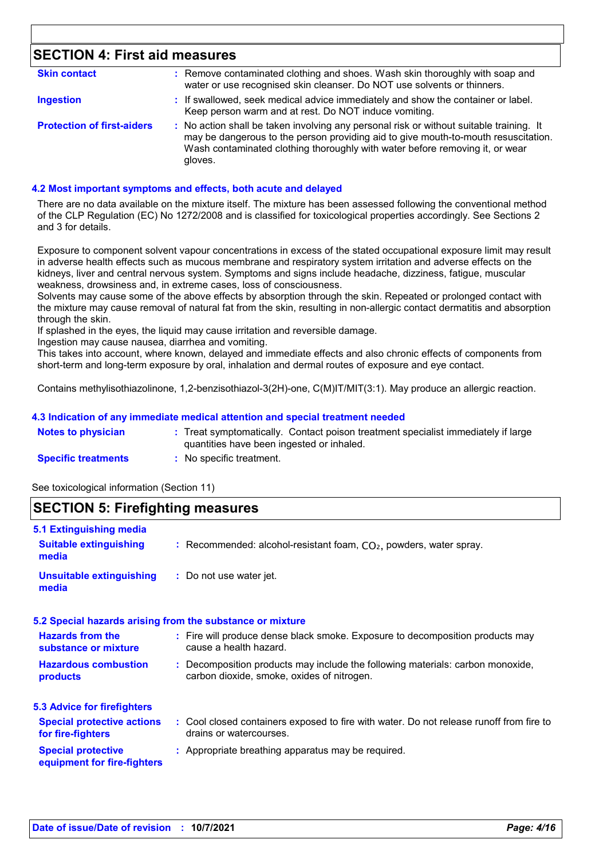## **SECTION 4: First aid measures**

| <b>Skin contact</b>               | : Remove contaminated clothing and shoes. Wash skin thoroughly with soap and<br>water or use recognised skin cleanser. Do NOT use solvents or thinners.                                                                                                                  |
|-----------------------------------|--------------------------------------------------------------------------------------------------------------------------------------------------------------------------------------------------------------------------------------------------------------------------|
| <b>Ingestion</b>                  | : If swallowed, seek medical advice immediately and show the container or label.<br>Keep person warm and at rest. Do NOT induce vomiting.                                                                                                                                |
| <b>Protection of first-aiders</b> | : No action shall be taken involving any personal risk or without suitable training. It<br>may be dangerous to the person providing aid to give mouth-to-mouth resuscitation.<br>Wash contaminated clothing thoroughly with water before removing it, or wear<br>gloves. |

#### **4.2 Most important symptoms and effects, both acute and delayed**

There are no data available on the mixture itself. The mixture has been assessed following the conventional method of the CLP Regulation (EC) No 1272/2008 and is classified for toxicological properties accordingly. See Sections 2 and 3 for details.

Exposure to component solvent vapour concentrations in excess of the stated occupational exposure limit may result in adverse health effects such as mucous membrane and respiratory system irritation and adverse effects on the kidneys, liver and central nervous system. Symptoms and signs include headache, dizziness, fatigue, muscular weakness, drowsiness and, in extreme cases, loss of consciousness.

Solvents may cause some of the above effects by absorption through the skin. Repeated or prolonged contact with the mixture may cause removal of natural fat from the skin, resulting in non-allergic contact dermatitis and absorption through the skin.

If splashed in the eyes, the liquid may cause irritation and reversible damage.

Ingestion may cause nausea, diarrhea and vomiting.

This takes into account, where known, delayed and immediate effects and also chronic effects of components from short-term and long-term exposure by oral, inhalation and dermal routes of exposure and eye contact.

Contains methylisothiazolinone, 1,2-benzisothiazol-3(2H)-one, C(M)IT/MIT(3:1). May produce an allergic reaction.

#### **4.3 Indication of any immediate medical attention and special treatment needed**

| <b>Notes to physician</b>  | : Treat symptomatically. Contact poison treatment specialist immediately if large |
|----------------------------|-----------------------------------------------------------------------------------|
|                            | quantities have been ingested or inhaled.                                         |
| <b>Specific treatments</b> | No specific treatment.                                                            |

See toxicological information (Section 11)

#### **SECTION 5: Firefighting measures**

| 5.1 Extinguishing media                                  |                                                                                                                              |
|----------------------------------------------------------|------------------------------------------------------------------------------------------------------------------------------|
| <b>Suitable extinguishing</b><br>media                   | : Recommended: alcohol-resistant foam, $CO2$ , powders, water spray.                                                         |
| <b>Unsuitable extinguishing</b><br>media                 | : Do not use water jet.                                                                                                      |
|                                                          | 5.2 Special hazards arising from the substance or mixture                                                                    |
| <b>Hazards from the</b><br>substance or mixture          | : Fire will produce dense black smoke. Exposure to decomposition products may<br>cause a health hazard.                      |
| <b>Hazardous combustion</b><br>products                  | : Decomposition products may include the following materials: carbon monoxide,<br>carbon dioxide, smoke, oxides of nitrogen. |
| 5.3 Advice for firefighters                              |                                                                                                                              |
| <b>Special protective actions</b><br>for fire-fighters   | : Cool closed containers exposed to fire with water. Do not release runoff from fire to<br>drains or watercourses.           |
| <b>Special protective</b><br>equipment for fire-fighters | : Appropriate breathing apparatus may be required.                                                                           |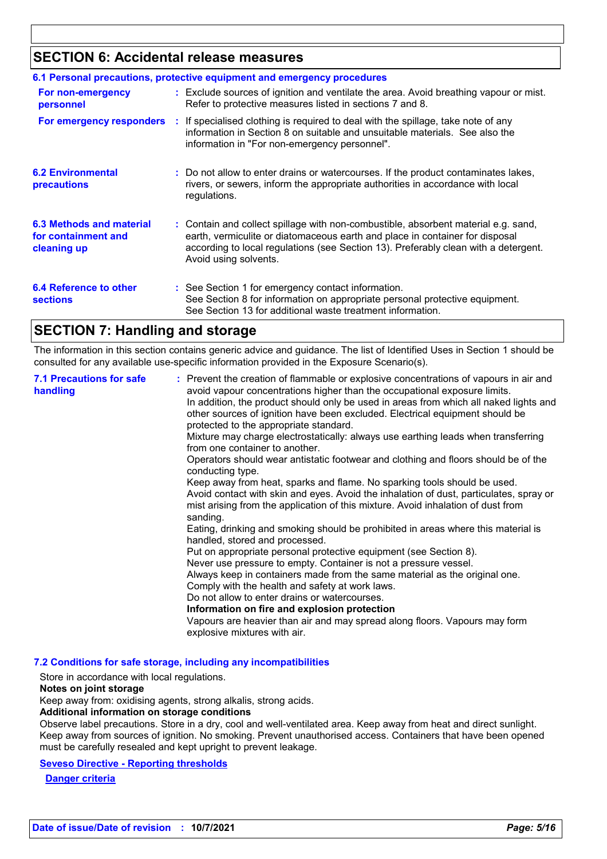## **SECTION 6: Accidental release measures**

| 6.1 Personal precautions, protective equipment and emergency procedures |  |                                                                                                                                                                                                                                                                                    |  |  |
|-------------------------------------------------------------------------|--|------------------------------------------------------------------------------------------------------------------------------------------------------------------------------------------------------------------------------------------------------------------------------------|--|--|
| For non-emergency<br>personnel                                          |  | : Exclude sources of ignition and ventilate the area. Avoid breathing vapour or mist.<br>Refer to protective measures listed in sections 7 and 8.                                                                                                                                  |  |  |
|                                                                         |  | <b>For emergency responders</b> : If specialised clothing is required to deal with the spillage, take note of any<br>information in Section 8 on suitable and unsuitable materials. See also the<br>information in "For non-emergency personnel".                                  |  |  |
| <b>6.2 Environmental</b><br>precautions                                 |  | : Do not allow to enter drains or watercourses. If the product contaminates lakes,<br>rivers, or sewers, inform the appropriate authorities in accordance with local<br>regulations.                                                                                               |  |  |
| 6.3 Methods and material<br>for containment and<br>cleaning up          |  | : Contain and collect spillage with non-combustible, absorbent material e.g. sand,<br>earth, vermiculite or diatomaceous earth and place in container for disposal<br>according to local regulations (see Section 13). Preferably clean with a detergent.<br>Avoid using solvents. |  |  |
| 6.4 Reference to other<br><b>sections</b>                               |  | : See Section 1 for emergency contact information.<br>See Section 8 for information on appropriate personal protective equipment.<br>See Section 13 for additional waste treatment information.                                                                                    |  |  |

### **SECTION 7: Handling and storage**

The information in this section contains generic advice and guidance. The list of Identified Uses in Section 1 should be consulted for any available use-specific information provided in the Exposure Scenario(s).

| protected to the appropriate standard.<br>Mixture may charge electrostatically: always use earthing leads when transferring<br>from one container to another.<br>Operators should wear antistatic footwear and clothing and floors should be of the<br>conducting type.<br>Keep away from heat, sparks and flame. No sparking tools should be used.<br>mist arising from the application of this mixture. Avoid inhalation of dust from<br>sanding.<br>Eating, drinking and smoking should be prohibited in areas where this material is<br>handled, stored and processed.<br>Put on appropriate personal protective equipment (see Section 8).<br>Never use pressure to empty. Container is not a pressure vessel.<br>Always keep in containers made from the same material as the original one.<br>Comply with the health and safety at work laws.<br>Do not allow to enter drains or watercourses.<br>Information on fire and explosion protection<br>Vapours are heavier than air and may spread along floors. Vapours may form<br>explosive mixtures with air. | <b>7.1 Precautions for safe</b><br>handling | : Prevent the creation of flammable or explosive concentrations of vapours in air and<br>avoid vapour concentrations higher than the occupational exposure limits.<br>In addition, the product should only be used in areas from which all naked lights and<br>other sources of ignition have been excluded. Electrical equipment should be<br>Avoid contact with skin and eyes. Avoid the inhalation of dust, particulates, spray or |
|---------------------------------------------------------------------------------------------------------------------------------------------------------------------------------------------------------------------------------------------------------------------------------------------------------------------------------------------------------------------------------------------------------------------------------------------------------------------------------------------------------------------------------------------------------------------------------------------------------------------------------------------------------------------------------------------------------------------------------------------------------------------------------------------------------------------------------------------------------------------------------------------------------------------------------------------------------------------------------------------------------------------------------------------------------------------|---------------------------------------------|---------------------------------------------------------------------------------------------------------------------------------------------------------------------------------------------------------------------------------------------------------------------------------------------------------------------------------------------------------------------------------------------------------------------------------------|
|---------------------------------------------------------------------------------------------------------------------------------------------------------------------------------------------------------------------------------------------------------------------------------------------------------------------------------------------------------------------------------------------------------------------------------------------------------------------------------------------------------------------------------------------------------------------------------------------------------------------------------------------------------------------------------------------------------------------------------------------------------------------------------------------------------------------------------------------------------------------------------------------------------------------------------------------------------------------------------------------------------------------------------------------------------------------|---------------------------------------------|---------------------------------------------------------------------------------------------------------------------------------------------------------------------------------------------------------------------------------------------------------------------------------------------------------------------------------------------------------------------------------------------------------------------------------------|

#### **7.2 Conditions for safe storage, including any incompatibilities**

Store in accordance with local regulations.

#### **Notes on joint storage**

Keep away from: oxidising agents, strong alkalis, strong acids.

**Additional information on storage conditions**

Observe label precautions. Store in a dry, cool and well-ventilated area. Keep away from heat and direct sunlight. Keep away from sources of ignition. No smoking. Prevent unauthorised access. Containers that have been opened must be carefully resealed and kept upright to prevent leakage.

#### **Seveso Directive - Reporting thresholds**

**Danger criteria**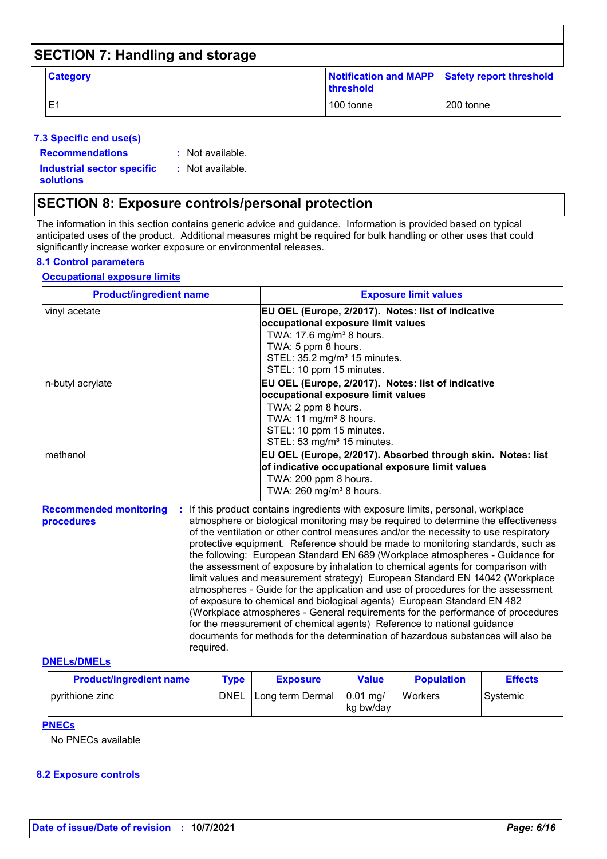| <b>SECTION 7: Handling and storage</b> |                                                                   |           |
|----------------------------------------|-------------------------------------------------------------------|-----------|
| <b>Category</b>                        | Notification and MAPP Safety report threshold<br><b>threshold</b> |           |
| E1                                     | 100 tonne                                                         | 200 tonne |

#### **7.3 Specific end use(s)**

**Recommendations :**

: Not available.

**Industrial sector specific : solutions**

: Not available.

### **SECTION 8: Exposure controls/personal protection**

The information in this section contains generic advice and guidance. Information is provided based on typical anticipated uses of the product. Additional measures might be required for bulk handling or other uses that could significantly increase worker exposure or environmental releases.

#### **8.1 Control parameters**

#### **Occupational exposure limits**

| <b>Product/ingredient name</b>              |   | <b>Exposure limit values</b>                                                                                                                                                                                                                                                                                                                                                                                                                                                                                                                                                                                                                                                                                                                                       |
|---------------------------------------------|---|--------------------------------------------------------------------------------------------------------------------------------------------------------------------------------------------------------------------------------------------------------------------------------------------------------------------------------------------------------------------------------------------------------------------------------------------------------------------------------------------------------------------------------------------------------------------------------------------------------------------------------------------------------------------------------------------------------------------------------------------------------------------|
| vinyl acetate                               |   | EU OEL (Europe, 2/2017). Notes: list of indicative<br>occupational exposure limit values<br>TWA: 17.6 mg/m <sup>3</sup> 8 hours.<br>TWA: 5 ppm 8 hours.<br>STEL: $35.2 \text{ mg/m}^3$ 15 minutes.<br>STEL: 10 ppm 15 minutes.                                                                                                                                                                                                                                                                                                                                                                                                                                                                                                                                     |
| n-butyl acrylate                            |   | EU OEL (Europe, 2/2017). Notes: list of indicative<br>occupational exposure limit values<br>TWA: 2 ppm 8 hours.<br>TWA: 11 mg/m <sup>3</sup> 8 hours.<br>STEL: 10 ppm 15 minutes.<br>STEL: 53 mg/m <sup>3</sup> 15 minutes.                                                                                                                                                                                                                                                                                                                                                                                                                                                                                                                                        |
| methanol                                    |   | EU OEL (Europe, 2/2017). Absorbed through skin. Notes: list<br>of indicative occupational exposure limit values<br>TWA: 200 ppm 8 hours.<br>TWA: 260 mg/m <sup>3</sup> 8 hours.                                                                                                                                                                                                                                                                                                                                                                                                                                                                                                                                                                                    |
| <b>Recommended monitoring</b><br>procedures | ÷ | If this product contains ingredients with exposure limits, personal, workplace<br>atmosphere or biological monitoring may be required to determine the effectiveness<br>of the ventilation or other control measures and/or the necessity to use respiratory<br>protective equipment. Reference should be made to monitoring standards, such as<br>the following: European Standard EN 689 (Workplace atmospheres - Guidance for<br>the assessment of exposure by inhalation to chemical agents for comparison with<br>limit values and measurement strategy) European Standard EN 14042 (Workplace<br>atmospheres - Guide for the application and use of procedures for the assessment<br>of exposure to chemical and biological agents) European Standard EN 482 |

(Workplace atmospheres - General requirements for the performance of procedures for the measurement of chemical agents) Reference to national guidance documents for methods for the determination of hazardous substances will also be required.

#### **DNELs/DMELs**

| <b>Product/ingredient name</b> | $T$ vpe     | <b>Exposure</b>  | <b>Value</b>            | <b>Population</b> | <b>Effects</b> |
|--------------------------------|-------------|------------------|-------------------------|-------------------|----------------|
| pyrithione zinc                | <b>DNEL</b> | Long term Dermal | $0.01$ ma/<br>kg bw/day | Workers           | Svstemic       |

**PNECs**

No PNECs available

#### **8.2 Exposure controls**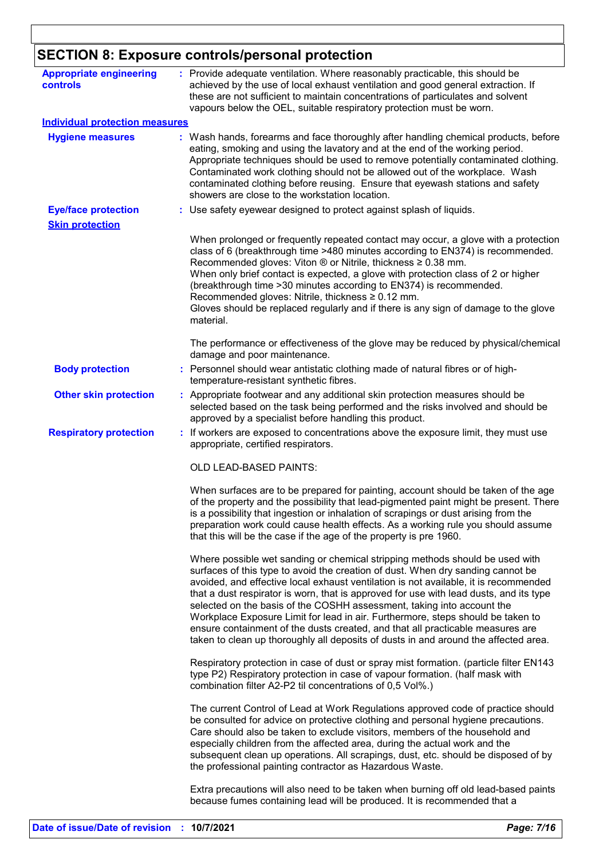# **SECTION 8: Exposure controls/personal protection**

| <b>Appropriate engineering</b><br>controls |    | : Provide adequate ventilation. Where reasonably practicable, this should be<br>achieved by the use of local exhaust ventilation and good general extraction. If<br>these are not sufficient to maintain concentrations of particulates and solvent<br>vapours below the OEL, suitable respiratory protection must be worn.                                                                                                                                                                                                                                                                                                                                                             |
|--------------------------------------------|----|-----------------------------------------------------------------------------------------------------------------------------------------------------------------------------------------------------------------------------------------------------------------------------------------------------------------------------------------------------------------------------------------------------------------------------------------------------------------------------------------------------------------------------------------------------------------------------------------------------------------------------------------------------------------------------------------|
| <b>Individual protection measures</b>      |    |                                                                                                                                                                                                                                                                                                                                                                                                                                                                                                                                                                                                                                                                                         |
| <b>Hygiene measures</b>                    |    | : Wash hands, forearms and face thoroughly after handling chemical products, before<br>eating, smoking and using the lavatory and at the end of the working period.<br>Appropriate techniques should be used to remove potentially contaminated clothing.<br>Contaminated work clothing should not be allowed out of the workplace. Wash<br>contaminated clothing before reusing. Ensure that eyewash stations and safety<br>showers are close to the workstation location.                                                                                                                                                                                                             |
| <b>Eye/face protection</b>                 |    | : Use safety eyewear designed to protect against splash of liquids.                                                                                                                                                                                                                                                                                                                                                                                                                                                                                                                                                                                                                     |
| <b>Skin protection</b>                     |    |                                                                                                                                                                                                                                                                                                                                                                                                                                                                                                                                                                                                                                                                                         |
|                                            |    | When prolonged or frequently repeated contact may occur, a glove with a protection<br>class of 6 (breakthrough time >480 minutes according to EN374) is recommended.<br>Recommended gloves: Viton $\circledR$ or Nitrile, thickness $\geq 0.38$ mm.<br>When only brief contact is expected, a glove with protection class of 2 or higher<br>(breakthrough time > 30 minutes according to EN374) is recommended.<br>Recommended gloves: Nitrile, thickness ≥ 0.12 mm.<br>Gloves should be replaced regularly and if there is any sign of damage to the glove<br>material.                                                                                                                |
|                                            |    | The performance or effectiveness of the glove may be reduced by physical/chemical<br>damage and poor maintenance.                                                                                                                                                                                                                                                                                                                                                                                                                                                                                                                                                                       |
| <b>Body protection</b>                     |    | : Personnel should wear antistatic clothing made of natural fibres or of high-<br>temperature-resistant synthetic fibres.                                                                                                                                                                                                                                                                                                                                                                                                                                                                                                                                                               |
| <b>Other skin protection</b>               |    | : Appropriate footwear and any additional skin protection measures should be<br>selected based on the task being performed and the risks involved and should be<br>approved by a specialist before handling this product.                                                                                                                                                                                                                                                                                                                                                                                                                                                               |
| <b>Respiratory protection</b>              | ÷. | If workers are exposed to concentrations above the exposure limit, they must use<br>appropriate, certified respirators.                                                                                                                                                                                                                                                                                                                                                                                                                                                                                                                                                                 |
|                                            |    | <b>OLD LEAD-BASED PAINTS:</b>                                                                                                                                                                                                                                                                                                                                                                                                                                                                                                                                                                                                                                                           |
|                                            |    | When surfaces are to be prepared for painting, account should be taken of the age<br>of the property and the possibility that lead-pigmented paint might be present. There<br>is a possibility that ingestion or inhalation of scrapings or dust arising from the<br>preparation work could cause health effects. As a working rule you should assume<br>that this will be the case if the age of the property is pre 1960.                                                                                                                                                                                                                                                             |
|                                            |    | Where possible wet sanding or chemical stripping methods should be used with<br>surfaces of this type to avoid the creation of dust. When dry sanding cannot be<br>avoided, and effective local exhaust ventilation is not available, it is recommended<br>that a dust respirator is worn, that is approved for use with lead dusts, and its type<br>selected on the basis of the COSHH assessment, taking into account the<br>Workplace Exposure Limit for lead in air. Furthermore, steps should be taken to<br>ensure containment of the dusts created, and that all practicable measures are<br>taken to clean up thoroughly all deposits of dusts in and around the affected area. |
|                                            |    | Respiratory protection in case of dust or spray mist formation. (particle filter EN143<br>type P2) Respiratory protection in case of vapour formation. (half mask with<br>combination filter A2-P2 til concentrations of 0,5 Vol%.)                                                                                                                                                                                                                                                                                                                                                                                                                                                     |
|                                            |    | The current Control of Lead at Work Regulations approved code of practice should<br>be consulted for advice on protective clothing and personal hygiene precautions.<br>Care should also be taken to exclude visitors, members of the household and<br>especially children from the affected area, during the actual work and the<br>subsequent clean up operations. All scrapings, dust, etc. should be disposed of by<br>the professional painting contractor as Hazardous Waste.                                                                                                                                                                                                     |
|                                            |    | Extra precautions will also need to be taken when burning off old lead-based paints<br>because fumes containing lead will be produced. It is recommended that a                                                                                                                                                                                                                                                                                                                                                                                                                                                                                                                         |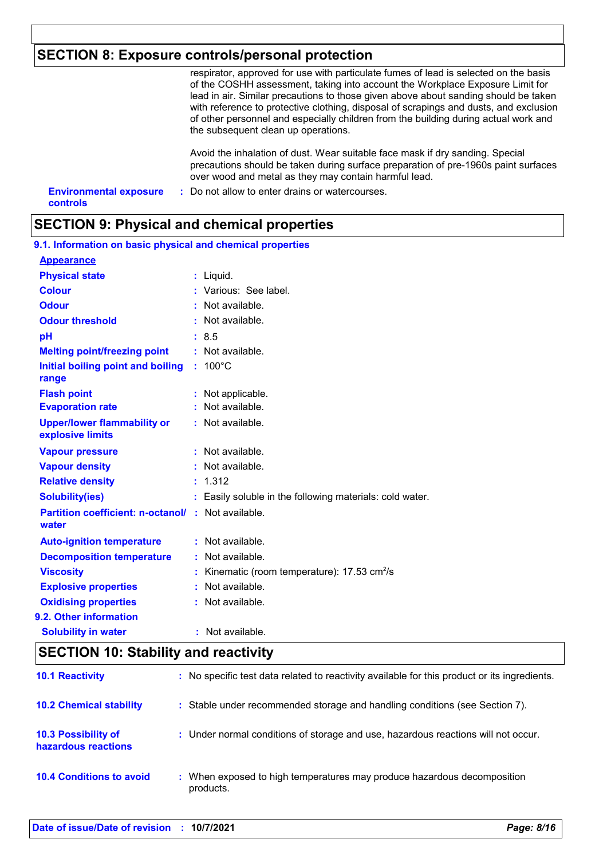# **SECTION 8: Exposure controls/personal protection**

|                                                  | respirator, approved for use with particulate fumes of lead is selected on the basis<br>of the COSHH assessment, taking into account the Workplace Exposure Limit for<br>lead in air. Similar precautions to those given above about sanding should be taken<br>with reference to protective clothing, disposal of scrapings and dusts, and exclusion<br>of other personnel and especially children from the building during actual work and<br>the subsequent clean up operations. |
|--------------------------------------------------|-------------------------------------------------------------------------------------------------------------------------------------------------------------------------------------------------------------------------------------------------------------------------------------------------------------------------------------------------------------------------------------------------------------------------------------------------------------------------------------|
|                                                  | Avoid the inhalation of dust. Wear suitable face mask if dry sanding. Special<br>precautions should be taken during surface preparation of pre-1960s paint surfaces<br>over wood and metal as they may contain harmful lead.                                                                                                                                                                                                                                                        |
| <b>Environmental exposure</b><br><b>controls</b> | : Do not allow to enter drains or watercourses.                                                                                                                                                                                                                                                                                                                                                                                                                                     |

# **SECTION 9: Physical and chemical properties**

| 9.1. Information on basic physical and chemical properties |                                                        |
|------------------------------------------------------------|--------------------------------------------------------|
| <b>Appearance</b>                                          |                                                        |
| <b>Physical state</b>                                      | $:$ Liquid.                                            |
| <b>Colour</b>                                              | : Various: See label.                                  |
| <b>Odour</b>                                               | Not available.                                         |
| <b>Odour threshold</b>                                     | : Not available.                                       |
| рH                                                         | : 8.5                                                  |
| <b>Melting point/freezing point</b>                        | : Not available.                                       |
| Initial boiling point and boiling<br>range                 | $: 100^{\circ}$ C                                      |
| <b>Flash point</b>                                         | : Not applicable.                                      |
| <b>Evaporation rate</b>                                    | Not available.                                         |
| <b>Upper/lower flammability or</b><br>explosive limits     | : Not available.                                       |
| <b>Vapour pressure</b>                                     | : Not available.                                       |
| <b>Vapour density</b>                                      | Not available.                                         |
| <b>Relative density</b>                                    | : 1.312                                                |
| <b>Solubility(ies)</b>                                     | Easily soluble in the following materials: cold water. |
| <b>Partition coefficient: n-octanol/</b><br>water          | Not available.                                         |
| <b>Auto-ignition temperature</b>                           | : Not available.                                       |
| <b>Decomposition temperature</b>                           | Not available.                                         |
| <b>Viscosity</b>                                           | Kinematic (room temperature): 17.53 cm <sup>2</sup> /s |
| <b>Explosive properties</b>                                | Not available.                                         |
| <b>Oxidising properties</b>                                | Not available.                                         |
| 9.2. Other information                                     |                                                        |
| <b>Solubility in water</b>                                 | : Not available.                                       |

# **SECTION 10: Stability and reactivity**

| <b>10.1 Reactivity</b>                     |           | : No specific test data related to reactivity available for this product or its ingredients. |
|--------------------------------------------|-----------|----------------------------------------------------------------------------------------------|
| <b>10.2 Chemical stability</b>             |           | : Stable under recommended storage and handling conditions (see Section 7).                  |
| 10.3 Possibility of<br>hazardous reactions |           | : Under normal conditions of storage and use, hazardous reactions will not occur.            |
| <b>10.4 Conditions to avoid</b>            | products. | : When exposed to high temperatures may produce hazardous decomposition                      |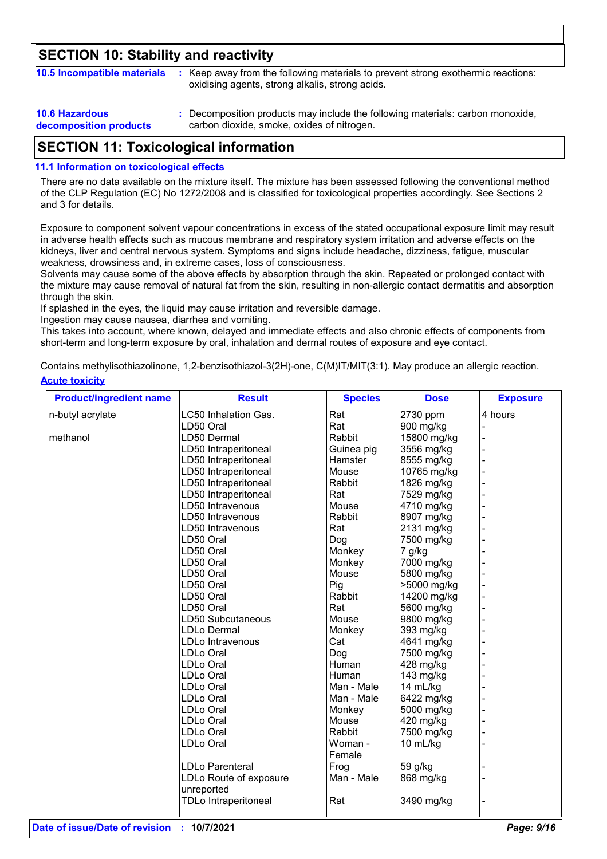# **SECTION 10: Stability and reactivity**

| 10.5 Incompatible materials | : Keep away from the following materials to prevent strong exothermic reactions:<br>oxidising agents, strong alkalis, strong acids. |
|-----------------------------|-------------------------------------------------------------------------------------------------------------------------------------|
|                             |                                                                                                                                     |

| <b>10.6 Hazardous</b>  | : Decomposition products may include the following materials: carbon monoxide, |
|------------------------|--------------------------------------------------------------------------------|
| decomposition products | carbon dioxide, smoke, oxides of nitrogen.                                     |

### **SECTION 11: Toxicological information**

#### **11.1 Information on toxicological effects**

There are no data available on the mixture itself. The mixture has been assessed following the conventional method of the CLP Regulation (EC) No 1272/2008 and is classified for toxicological properties accordingly. See Sections 2 and 3 for details.

Exposure to component solvent vapour concentrations in excess of the stated occupational exposure limit may result in adverse health effects such as mucous membrane and respiratory system irritation and adverse effects on the kidneys, liver and central nervous system. Symptoms and signs include headache, dizziness, fatigue, muscular weakness, drowsiness and, in extreme cases, loss of consciousness.

Solvents may cause some of the above effects by absorption through the skin. Repeated or prolonged contact with the mixture may cause removal of natural fat from the skin, resulting in non-allergic contact dermatitis and absorption through the skin.

If splashed in the eyes, the liquid may cause irritation and reversible damage.

Ingestion may cause nausea, diarrhea and vomiting.

This takes into account, where known, delayed and immediate effects and also chronic effects of components from short-term and long-term exposure by oral, inhalation and dermal routes of exposure and eye contact.

**Acute toxicity** Contains methylisothiazolinone, 1,2-benzisothiazol-3(2H)-one, C(M)IT/MIT(3:1). May produce an allergic reaction.

| <b>Product/ingredient name</b> | <b>Result</b>               | <b>Species</b> | <b>Dose</b> | <b>Exposure</b> |
|--------------------------------|-----------------------------|----------------|-------------|-----------------|
| n-butyl acrylate               | LC50 Inhalation Gas.        | Rat            | 2730 ppm    | 4 hours         |
|                                | LD50 Oral                   | Rat            | 900 mg/kg   |                 |
| methanol                       | LD50 Dermal                 | Rabbit         | 15800 mg/kg |                 |
|                                | LD50 Intraperitoneal        | Guinea pig     | 3556 mg/kg  |                 |
|                                | LD50 Intraperitoneal        | Hamster        | 8555 mg/kg  |                 |
|                                | LD50 Intraperitoneal        | Mouse          | 10765 mg/kg |                 |
|                                | LD50 Intraperitoneal        | Rabbit         | 1826 mg/kg  |                 |
|                                | LD50 Intraperitoneal        | Rat            | 7529 mg/kg  |                 |
|                                | LD50 Intravenous            | Mouse          | 4710 mg/kg  |                 |
|                                | LD50 Intravenous            | Rabbit         | 8907 mg/kg  |                 |
|                                | LD50 Intravenous            | Rat            | 2131 mg/kg  |                 |
|                                | LD50 Oral                   | Dog            | 7500 mg/kg  |                 |
|                                | LD50 Oral                   | Monkey         | 7 g/kg      |                 |
|                                | LD50 Oral                   | Monkey         | 7000 mg/kg  |                 |
|                                | LD50 Oral                   | Mouse          | 5800 mg/kg  |                 |
|                                | LD50 Oral                   | Pig            | >5000 mg/kg |                 |
|                                | LD50 Oral                   | Rabbit         | 14200 mg/kg |                 |
|                                | LD50 Oral                   | Rat            | 5600 mg/kg  |                 |
|                                | LD50 Subcutaneous           | Mouse          | 9800 mg/kg  |                 |
|                                | <b>LDLo Dermal</b>          | Monkey         | 393 mg/kg   |                 |
|                                | LDLo Intravenous            | Cat            | 4641 mg/kg  |                 |
|                                | LDLo Oral                   | Dog            | 7500 mg/kg  |                 |
|                                | LDLo Oral                   | Human          | 428 mg/kg   |                 |
|                                | <b>LDLo Oral</b>            | Human          | 143 mg/kg   |                 |
|                                | LDLo Oral                   | Man - Male     | 14 mL/kg    |                 |
|                                | <b>LDLo Oral</b>            | Man - Male     | 6422 mg/kg  |                 |
|                                | LDLo Oral                   | Monkey         | 5000 mg/kg  |                 |
|                                | LDLo Oral                   | Mouse          | 420 mg/kg   |                 |
|                                | LDLo Oral                   | Rabbit         | 7500 mg/kg  |                 |
|                                | <b>LDLo Oral</b>            | Woman -        | 10 mL/kg    |                 |
|                                |                             | Female         |             |                 |
|                                | LDLo Parenteral             | Frog           | 59 g/kg     |                 |
|                                | LDLo Route of exposure      | Man - Male     | 868 mg/kg   |                 |
|                                | unreported                  |                |             |                 |
|                                | <b>TDLo Intraperitoneal</b> | Rat            | 3490 mg/kg  |                 |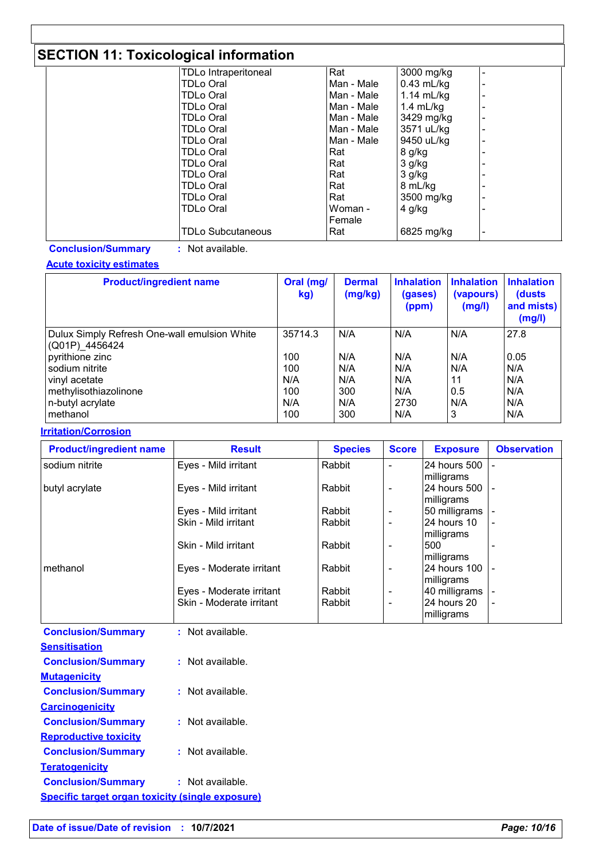# **SECTION 11: Toxicological information**

| -                           |            |              |   |
|-----------------------------|------------|--------------|---|
| <b>TDLo Intraperitoneal</b> | Rat        | 3000 mg/kg   |   |
| TDLo Oral                   | Man - Male | $0.43$ mL/kg | ۰ |
| TDLo Oral                   | Man - Male | $1.14$ mL/kg |   |
| TDLo Oral                   | Man - Male | 1.4 $mL/kg$  |   |
| TDLo Oral                   | Man - Male | 3429 mg/kg   | ۰ |
| TDLo Oral                   | Man - Male | 3571 uL/kg   |   |
| TDLo Oral                   | Man - Male | 9450 uL/kg   |   |
| TDLo Oral                   | l Rat      | 8 g/kg       |   |
| TDLo Oral                   | l Rat      | $3$ g/kg     |   |
| TDLo Oral                   | Rat        | $3$ g/kg     |   |
| TDLo Oral                   | Rat        | 8 mL/kg      |   |
| TDLo Oral                   | l Rat      | 3500 mg/kg   | ٠ |
| TDLo Oral                   | Woman -    | $4$ g/kg     |   |
|                             | Female     |              |   |
| <b>TDLo Subcutaneous</b>    | Rat        | 6825 mg/kg   |   |

**Conclusion/Summary :** Not available.

#### **Acute toxicity estimates**

| <b>Product/ingredient name</b>                                 | Oral (mg/<br>kg) | <b>Dermal</b><br>(mg/kg) | <b>Inhalation</b><br>(gases)<br>(ppm) | <b>Inhalation</b><br>(vapours)<br>(mg/l) | <b>Inhalation</b><br>(dusts)<br>and mists)<br>(mg/l) |
|----------------------------------------------------------------|------------------|--------------------------|---------------------------------------|------------------------------------------|------------------------------------------------------|
| Dulux Simply Refresh One-wall emulsion White<br>(Q01P)_4456424 | 35714.3          | N/A                      | N/A                                   | N/A                                      | 27.8                                                 |
| pyrithione zinc                                                | 100              | N/A                      | N/A                                   | N/A                                      | 0.05                                                 |
| sodium nitrite                                                 | 100              | N/A                      | N/A                                   | N/A                                      | N/A                                                  |
| vinyl acetate                                                  | N/A              | N/A                      | N/A                                   | 11                                       | N/A                                                  |
| methylisothiazolinone                                          | 100              | 300                      | N/A                                   | 0.5                                      | N/A                                                  |
| n-butyl acrylate                                               | N/A              | N/A                      | 2730                                  | N/A                                      | N/A                                                  |
| methanol                                                       | 100              | 300                      | N/A                                   | 3                                        | N/A                                                  |

#### **Irritation/Corrosion**

| <b>Product/ingredient name</b> | <b>Result</b>                                        | <b>Species</b>   | <b>Score</b>                  | <b>Exposure</b>                            | <b>Observation</b> |
|--------------------------------|------------------------------------------------------|------------------|-------------------------------|--------------------------------------------|--------------------|
| sodium nitrite                 | Eyes - Mild irritant                                 | Rabbit           |                               | 24 hours 500<br>milligrams                 |                    |
| butyl acrylate                 | Eyes - Mild irritant                                 | Rabbit           |                               | 124 hours 500 1 -<br>milligrams            |                    |
|                                | Eyes - Mild irritant                                 | Rabbit           | ٠                             | 50 milligrams                              |                    |
|                                | Skin - Mild irritant                                 | Rabbit           | ۰                             | 24 hours 10<br>milligrams                  |                    |
|                                | Skin - Mild irritant                                 | Rabbit           |                               | 500<br>milligrams                          |                    |
| methanol                       | Eyes - Moderate irritant                             | Rabbit           | ۰                             | 24 hours 100 -<br>milligrams               |                    |
|                                | Eyes - Moderate irritant<br>Skin - Moderate irritant | Rabbit<br>Rabbit | ۰<br>$\overline{\phantom{0}}$ | 40 milligrams<br>24 hours 20<br>milligrams | $\blacksquare$     |

| <b>Conclusion/Summary</b>                               | : Not available.   |
|---------------------------------------------------------|--------------------|
| <b>Sensitisation</b>                                    |                    |
| <b>Conclusion/Summary</b>                               | : Not available.   |
| <b>Mutagenicity</b>                                     |                    |
| <b>Conclusion/Summary</b>                               | $:$ Not available. |
| <b>Carcinogenicity</b>                                  |                    |
| <b>Conclusion/Summary</b>                               | $:$ Not available. |
| <b>Reproductive toxicity</b>                            |                    |
| <b>Conclusion/Summary</b>                               | $:$ Not available. |
| <b>Teratogenicity</b>                                   |                    |
| <b>Conclusion/Summary</b>                               | : Not available.   |
| <b>Specific target organ toxicity (single exposure)</b> |                    |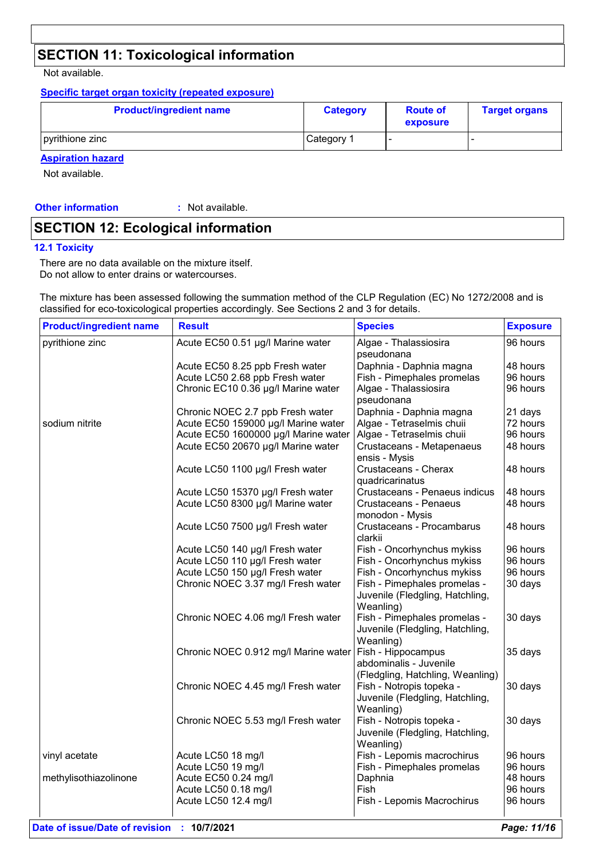# **SECTION 11: Toxicological information**

Not available.

#### **Specific target organ toxicity (repeated exposure)**

| <b>Product/ingredient name</b> | <b>Category</b> | <b>Route of</b><br>exposure | <b>Target organs</b> |
|--------------------------------|-----------------|-----------------------------|----------------------|
| pyrithione zinc                | Category 1      |                             |                      |

#### **Aspiration hazard**

Not available.

**Other information :**

: Not available.

### **SECTION 12: Ecological information**

#### **12.1 Toxicity**

There are no data available on the mixture itself. Do not allow to enter drains or watercourses.

The mixture has been assessed following the summation method of the CLP Regulation (EC) No 1272/2008 and is classified for eco-toxicological properties accordingly. See Sections 2 and 3 for details.

| <b>Product/ingredient name</b> | <b>Result</b>                        | <b>Species</b>                                                                   | <b>Exposure</b> |
|--------------------------------|--------------------------------------|----------------------------------------------------------------------------------|-----------------|
| pyrithione zinc                | Acute EC50 0.51 µg/l Marine water    | Algae - Thalassiosira<br>pseudonana                                              | 96 hours        |
|                                | Acute EC50 8.25 ppb Fresh water      | Daphnia - Daphnia magna                                                          | 48 hours        |
|                                | Acute LC50 2.68 ppb Fresh water      | Fish - Pimephales promelas                                                       | 96 hours        |
|                                | Chronic EC10 0.36 µg/l Marine water  | Algae - Thalassiosira<br>pseudonana                                              | 96 hours        |
|                                | Chronic NOEC 2.7 ppb Fresh water     | Daphnia - Daphnia magna                                                          | 21 days         |
| sodium nitrite                 | Acute EC50 159000 µg/l Marine water  | Algae - Tetraselmis chuii                                                        | 72 hours        |
|                                | Acute EC50 1600000 µg/l Marine water | Algae - Tetraselmis chuii                                                        | 96 hours        |
|                                | Acute EC50 20670 µg/l Marine water   | Crustaceans - Metapenaeus<br>ensis - Mysis                                       | 48 hours        |
|                                | Acute LC50 1100 µg/l Fresh water     | Crustaceans - Cherax<br>quadricarinatus                                          | 48 hours        |
|                                | Acute LC50 15370 µg/l Fresh water    | Crustaceans - Penaeus indicus                                                    | 48 hours        |
|                                | Acute LC50 8300 µg/l Marine water    | Crustaceans - Penaeus<br>monodon - Mysis                                         | 48 hours        |
|                                | Acute LC50 7500 µg/l Fresh water     | Crustaceans - Procambarus<br>clarkii                                             | 48 hours        |
|                                | Acute LC50 140 µg/l Fresh water      | Fish - Oncorhynchus mykiss                                                       | 96 hours        |
|                                | Acute LC50 110 µg/l Fresh water      | Fish - Oncorhynchus mykiss                                                       | 96 hours        |
|                                | Acute LC50 150 µg/l Fresh water      | Fish - Oncorhynchus mykiss                                                       | 96 hours        |
|                                | Chronic NOEC 3.37 mg/l Fresh water   | Fish - Pimephales promelas -<br>Juvenile (Fledgling, Hatchling,<br>Weanling)     | 30 days         |
|                                | Chronic NOEC 4.06 mg/l Fresh water   | Fish - Pimephales promelas -<br>Juvenile (Fledgling, Hatchling,<br>Weanling)     | 30 days         |
|                                | Chronic NOEC 0.912 mg/l Marine water | Fish - Hippocampus<br>abdominalis - Juvenile<br>(Fledgling, Hatchling, Weanling) | 35 days         |
|                                | Chronic NOEC 4.45 mg/l Fresh water   | Fish - Notropis topeka -<br>Juvenile (Fledgling, Hatchling,<br>Weanling)         | 30 days         |
|                                | Chronic NOEC 5.53 mg/l Fresh water   | Fish - Notropis topeka -<br>Juvenile (Fledgling, Hatchling,<br>Weanling)         | 30 days         |
| vinyl acetate                  | Acute LC50 18 mg/l                   | Fish - Lepomis macrochirus                                                       | 96 hours        |
|                                | Acute LC50 19 mg/l                   | Fish - Pimephales promelas                                                       | 96 hours        |
| methylisothiazolinone          | Acute EC50 0.24 mg/l                 | Daphnia                                                                          | 48 hours        |
|                                | Acute LC50 0.18 mg/l                 | Fish                                                                             | 96 hours        |
|                                | Acute LC50 12.4 mg/l                 | Fish - Lepomis Macrochirus                                                       | 96 hours        |
|                                |                                      |                                                                                  |                 |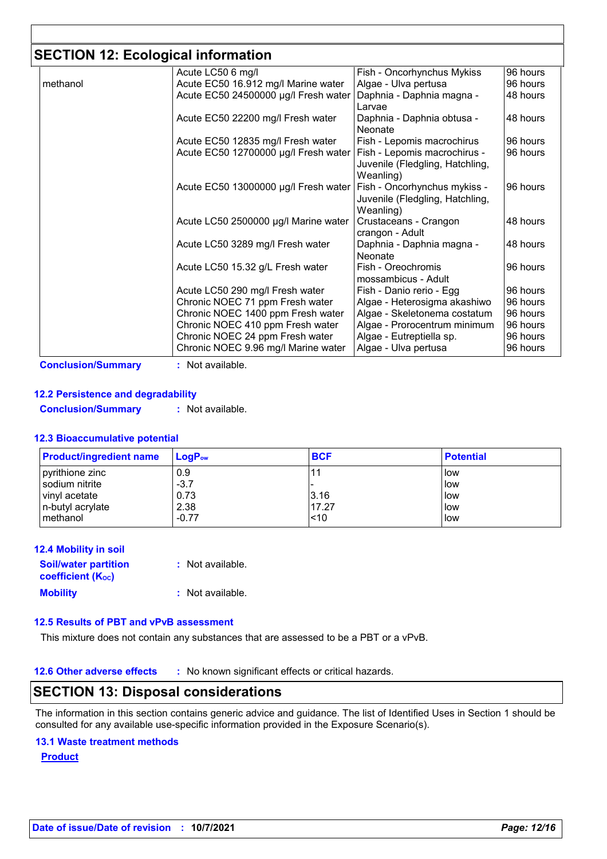# **SECTION 12: Ecological information**

|          | Acute LC50 6 mg/l                    | Fish - Oncorhynchus Mykiss                                                   | 96 hours |
|----------|--------------------------------------|------------------------------------------------------------------------------|----------|
| methanol | Acute EC50 16.912 mg/l Marine water  | Algae - Ulva pertusa                                                         | 96 hours |
|          | Acute EC50 24500000 µg/l Fresh water | Daphnia - Daphnia magna -                                                    | 48 hours |
|          |                                      | Larvae                                                                       |          |
|          | Acute EC50 22200 mg/l Fresh water    | Daphnia - Daphnia obtusa -<br>Neonate                                        | 48 hours |
|          | Acute EC50 12835 mg/l Fresh water    | Fish - Lepomis macrochirus                                                   | 96 hours |
|          |                                      |                                                                              |          |
|          | Acute EC50 12700000 µg/l Fresh water | Fish - Lepomis macrochirus -<br>Juvenile (Fledgling, Hatchling,<br>Weanling) | 96 hours |
|          | Acute EC50 13000000 µg/l Fresh water | Fish - Oncorhynchus mykiss -                                                 | 96 hours |
|          |                                      | Juvenile (Fledgling, Hatchling,                                              |          |
|          |                                      | Weanling)                                                                    |          |
|          | Acute LC50 2500000 µg/l Marine water | Crustaceans - Crangon                                                        | 48 hours |
|          |                                      | crangon - Adult                                                              |          |
|          | Acute LC50 3289 mg/l Fresh water     | Daphnia - Daphnia magna -                                                    | 48 hours |
|          |                                      | Neonate                                                                      |          |
|          | Acute LC50 15.32 g/L Fresh water     | Fish - Oreochromis<br>mossambicus - Adult                                    | 96 hours |
|          | Acute LC50 290 mg/l Fresh water      | Fish - Danio rerio - Egg                                                     | 96 hours |
|          | Chronic NOEC 71 ppm Fresh water      | Algae - Heterosigma akashiwo                                                 | 96 hours |
|          | Chronic NOEC 1400 ppm Fresh water    | Algae - Skeletonema costatum                                                 | 96 hours |
|          | Chronic NOEC 410 ppm Fresh water     | Algae - Prorocentrum minimum                                                 | 96 hours |
|          | Chronic NOEC 24 ppm Fresh water      | Algae - Eutreptiella sp.                                                     | 96 hours |
|          | Chronic NOEC 9.96 mg/l Marine water  | Algae - Ulva pertusa                                                         | 96 hours |

#### **12.2 Persistence and degradability**

**Conclusion/Summary :** Not available.

#### **12.3 Bioaccumulative potential**

| <b>Product/ingredient name</b> | <b>LogP</b> ow | <b>BCF</b> | <b>Potential</b> |
|--------------------------------|----------------|------------|------------------|
| pyrithione zinc                | 0.9            |            | low              |
| sodium nitrite                 | $-3.7$         |            | low              |
| vinyl acetate                  | 0.73           | 3.16       | low              |
| n-butyl acrylate               | 2.38           | 17.27      | low              |
| l methanol                     | $-0.77$        | ~10        | low              |

| <b>12.4 Mobility in soil</b> |                  |
|------------------------------|------------------|
| <b>Soil/water partition</b>  | : Not available. |
| <b>coefficient (Koc)</b>     |                  |
| <b>Mobility</b>              | : Not available. |

#### **12.5 Results of PBT and vPvB assessment**

This mixture does not contain any substances that are assessed to be a PBT or a vPvB.

**12.6 Other adverse effects** : No known significant effects or critical hazards.

#### **SECTION 13: Disposal considerations**

The information in this section contains generic advice and guidance. The list of Identified Uses in Section 1 should be consulted for any available use-specific information provided in the Exposure Scenario(s).

#### **13.1 Waste treatment methods**

**Product**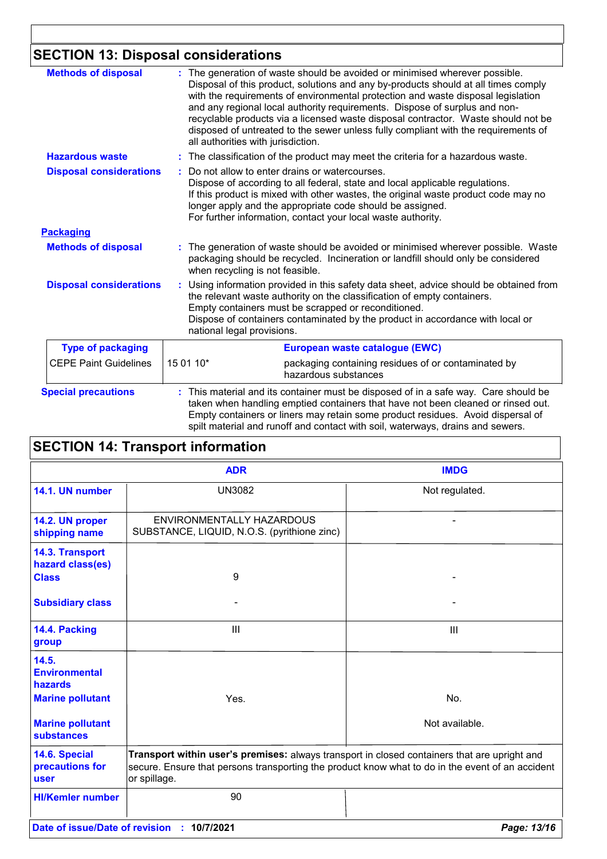# **SECTION 13: Disposal considerations**

| <b>Methods of disposal</b>     | : The generation of waste should be avoided or minimised wherever possible.<br>Disposal of this product, solutions and any by-products should at all times comply<br>with the requirements of environmental protection and waste disposal legislation<br>and any regional local authority requirements. Dispose of surplus and non-<br>recyclable products via a licensed waste disposal contractor. Waste should not be<br>disposed of untreated to the sewer unless fully compliant with the requirements of<br>all authorities with jurisdiction. |
|--------------------------------|------------------------------------------------------------------------------------------------------------------------------------------------------------------------------------------------------------------------------------------------------------------------------------------------------------------------------------------------------------------------------------------------------------------------------------------------------------------------------------------------------------------------------------------------------|
| <b>Hazardous waste</b>         | : The classification of the product may meet the criteria for a hazardous waste.                                                                                                                                                                                                                                                                                                                                                                                                                                                                     |
| <b>Disposal considerations</b> | Do not allow to enter drains or watercourses.<br>Dispose of according to all federal, state and local applicable regulations.<br>If this product is mixed with other wastes, the original waste product code may no<br>longer apply and the appropriate code should be assigned.<br>For further information, contact your local waste authority.                                                                                                                                                                                                     |
| <b>Packaging</b>               |                                                                                                                                                                                                                                                                                                                                                                                                                                                                                                                                                      |
| <b>Methods of disposal</b>     | : The generation of waste should be avoided or minimised wherever possible. Waste<br>packaging should be recycled. Incineration or landfill should only be considered<br>when recycling is not feasible.                                                                                                                                                                                                                                                                                                                                             |
| <b>Disposal considerations</b> | Using information provided in this safety data sheet, advice should be obtained from<br>the relevant waste authority on the classification of empty containers.<br>Empty containers must be scrapped or reconditioned.<br>Dispose of containers contaminated by the product in accordance with local or<br>national legal provisions.                                                                                                                                                                                                                |
| <b>Type of packaging</b>       | European waste catalogue (EWC)                                                                                                                                                                                                                                                                                                                                                                                                                                                                                                                       |
| <b>CEPE Paint Guidelines</b>   | 15 01 10*<br>packaging containing residues of or contaminated by<br>hazardous substances                                                                                                                                                                                                                                                                                                                                                                                                                                                             |
| <b>Special precautions</b>     | This material and its container must be disposed of in a safe way. Care should be<br>taken when handling emptied containers that have not been cleaned or rinsed out.<br>Empty containers or liners may retain some product residues. Avoid dispersal of<br>spilt material and runoff and contact with soil, waterways, drains and sewers.                                                                                                                                                                                                           |

| <b>SECTION 14: Transport information</b> |                                                                                                                                                                                                                  |                |  |
|------------------------------------------|------------------------------------------------------------------------------------------------------------------------------------------------------------------------------------------------------------------|----------------|--|
|                                          | <b>ADR</b>                                                                                                                                                                                                       | <b>IMDG</b>    |  |
| 14.1. UN number                          | <b>UN3082</b>                                                                                                                                                                                                    | Not regulated. |  |
| 14.2. UN proper<br>shipping name         | ENVIRONMENTALLY HAZARDOUS<br>SUBSTANCE, LIQUID, N.O.S. (pyrithione zinc)                                                                                                                                         |                |  |
| 14.3. Transport<br>hazard class(es)      |                                                                                                                                                                                                                  |                |  |
| <b>Class</b><br><b>Subsidiary class</b>  | 9                                                                                                                                                                                                                |                |  |
| 14.4. Packing<br>group                   | III                                                                                                                                                                                                              | III            |  |
| 14.5.<br><b>Environmental</b><br>hazards |                                                                                                                                                                                                                  |                |  |
| <b>Marine pollutant</b>                  | Yes.                                                                                                                                                                                                             | No.            |  |
| <b>Marine pollutant</b><br>substances    |                                                                                                                                                                                                                  | Not available. |  |
| 14.6. Special<br>precautions for<br>user | Transport within user's premises: always transport in closed containers that are upright and<br>secure. Ensure that persons transporting the product know what to do in the event of an accident<br>or spillage. |                |  |
| <b>HI/Kemler number</b>                  | 90                                                                                                                                                                                                               |                |  |
|                                          | Date of issue/Date of revision : 10/7/2021                                                                                                                                                                       | Page: 13/16    |  |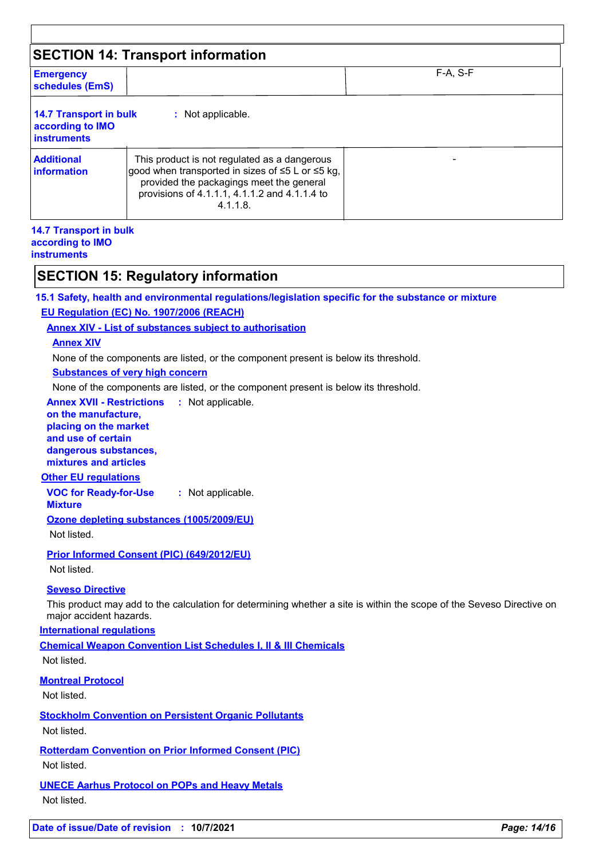| <b>SECTION 14: Transport information</b>                                |                                                                                                                                                                                                              |  |
|-------------------------------------------------------------------------|--------------------------------------------------------------------------------------------------------------------------------------------------------------------------------------------------------------|--|
| $F-A, S-F$<br><b>Emergency</b><br>schedules (EmS)                       |                                                                                                                                                                                                              |  |
| <b>14.7 Transport in bulk</b><br>according to IMO<br><b>instruments</b> | : Not applicable.                                                                                                                                                                                            |  |
| <b>Additional</b><br>information                                        | This product is not regulated as a dangerous<br>good when transported in sizes of ≤5 L or ≤5 kg,<br>provided the packagings meet the general<br>provisions of 4.1.1.1, 4.1.1.2 and 4.1.1.4 to<br>$4.1.1.8$ . |  |

#### **14.7 Transport in bulk according to IMO instruments**

### **SECTION 15: Regulatory information**

**15.1 Safety, health and environmental regulations/legislation specific for the substance or mixture EU Regulation (EC) No. 1907/2006 (REACH)**

**Annex XIV - List of substances subject to authorisation**

#### **Annex XIV**

None of the components are listed, or the component present is below its threshold.

#### **Substances of very high concern**

None of the components are listed, or the component present is below its threshold.

**Annex XVII - Restrictions** : Not applicable.

#### **on the manufacture, placing on the market and use of certain**

**dangerous substances, mixtures and articles**

#### **Other EU regulations**

**VOC for Ready-for-Use :** Not applicable.

#### **Mixture**

**Ozone depleting substances (1005/2009/EU)**

Not listed.

**Prior Informed Consent (PIC) (649/2012/EU)**

Not listed.

#### **Seveso Directive**

This product may add to the calculation for determining whether a site is within the scope of the Seveso Directive on major accident hazards.

#### **International regulations**

**Chemical Weapon Convention List Schedules I, II & III Chemicals**

Not listed.

#### **Montreal Protocol**

Not listed.

**Stockholm Convention on Persistent Organic Pollutants**

Not listed.

**Rotterdam Convention on Prior Informed Consent (PIC)**

Not listed.

### **UNECE Aarhus Protocol on POPs and Heavy Metals**

Not listed.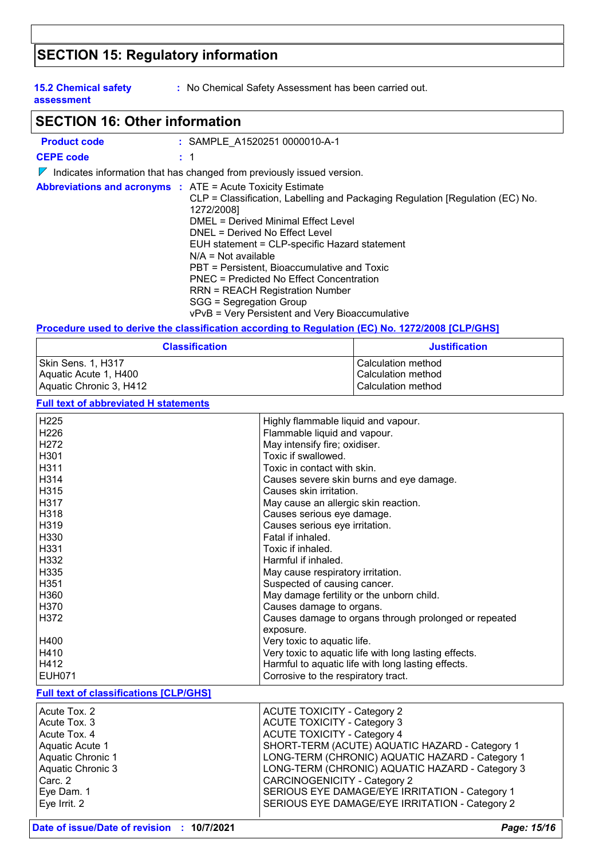# **SECTION 15: Regulatory information**

**15.2 Chemical safety assessment**

**:** No Chemical Safety Assessment has been carried out.

### **SECTION 16: Other information**

| <b>Product code</b>                                               | : SAMPLE A1520251 0000010-A-1                                                                                                                                                                                                                                                                                                                                                                                                                                     |
|-------------------------------------------------------------------|-------------------------------------------------------------------------------------------------------------------------------------------------------------------------------------------------------------------------------------------------------------------------------------------------------------------------------------------------------------------------------------------------------------------------------------------------------------------|
| <b>CEPE code</b>                                                  | : 1                                                                                                                                                                                                                                                                                                                                                                                                                                                               |
|                                                                   | $\sqrt{\ }$ Indicates information that has changed from previously issued version.                                                                                                                                                                                                                                                                                                                                                                                |
| <b>Abbreviations and acronyms : ATE = Acute Toxicity Estimate</b> | CLP = Classification, Labelling and Packaging Regulation [Regulation (EC) No.<br>1272/2008]<br>DMEL = Derived Minimal Effect Level<br>DNEL = Derived No Effect Level<br>EUH statement = CLP-specific Hazard statement<br>$N/A = Not available$<br>PBT = Persistent, Bioaccumulative and Toxic<br><b>PNEC</b> = Predicted No Effect Concentration<br>RRN = REACH Registration Number<br>SGG = Segregation Group<br>vPvB = Very Persistent and Very Bioaccumulative |

#### **Procedure used to derive the classification according to Regulation (EC) No. 1272/2008 [CLP/GHS]**

| <b>Classification</b>   | <b>Justification</b> |
|-------------------------|----------------------|
| Skin Sens. 1. H317      | l Calculation method |
| Aquatic Acute 1, H400   | l Calculation method |
| Aquatic Chronic 3, H412 | Calculation method   |

#### **Full text of abbreviated H statements**

| <u>an tont of abbitutation if othtomority</u> |                                                       |  |
|-----------------------------------------------|-------------------------------------------------------|--|
| H225                                          | Highly flammable liquid and vapour.                   |  |
| H <sub>226</sub>                              | Flammable liquid and vapour.                          |  |
| H <sub>272</sub>                              | May intensify fire; oxidiser.                         |  |
| H301                                          | Toxic if swallowed.                                   |  |
| H311                                          | Toxic in contact with skin.                           |  |
| H314                                          | Causes severe skin burns and eye damage.              |  |
| H315                                          | Causes skin irritation.                               |  |
| H317                                          | May cause an allergic skin reaction.                  |  |
| H318                                          | Causes serious eye damage.                            |  |
| H319                                          | Causes serious eye irritation.                        |  |
| H330                                          | Fatal if inhaled.                                     |  |
| H331                                          | Toxic if inhaled.                                     |  |
| H332                                          | Harmful if inhaled.                                   |  |
| H335                                          | May cause respiratory irritation.                     |  |
| H351                                          | Suspected of causing cancer.                          |  |
| H360                                          | May damage fertility or the unborn child.             |  |
| H370                                          | Causes damage to organs.                              |  |
| H372                                          | Causes damage to organs through prolonged or repeated |  |
|                                               | exposure.                                             |  |
| H400                                          | Very toxic to aquatic life.                           |  |
| H410                                          | Very toxic to aquatic life with long lasting effects. |  |
| H412                                          | Harmful to aquatic life with long lasting effects.    |  |
| <b>EUH071</b>                                 | Corrosive to the respiratory tract.                   |  |
| <b>Full text of classifications [CLP/GHS]</b> |                                                       |  |
| Acute Tox. 2                                  | <b>ACUTE TOXICITY - Category 2</b>                    |  |

| Acute Tox. 2      | <b>ACUTE TOXICITY - Category 2</b>              |
|-------------------|-------------------------------------------------|
| Acute Tox, 3      | <b>ACUTE TOXICITY - Category 3</b>              |
| Acute Tox. 4      | <b>ACUTE TOXICITY - Category 4</b>              |
| Aquatic Acute 1   | SHORT-TERM (ACUTE) AQUATIC HAZARD - Category 1  |
| Aquatic Chronic 1 | LONG-TERM (CHRONIC) AQUATIC HAZARD - Category 1 |
| Aquatic Chronic 3 | LONG-TERM (CHRONIC) AQUATIC HAZARD - Category 3 |
| Carc. 2           | <b>CARCINOGENICITY - Category 2</b>             |
| Eye Dam. 1        | SERIOUS EYE DAMAGE/EYE IRRITATION - Category 1  |
| Eye Irrit. 2      | SERIOUS EYE DAMAGE/EYE IRRITATION - Category 2  |
|                   |                                                 |